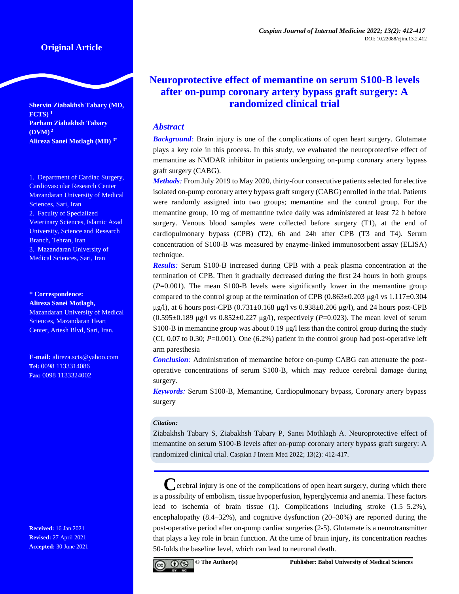**Shervin Ziabakhsh Tabary (MD, FCTS) <sup>1</sup> Parham Ziabakhsh Tabary (DVM) 2 Alireza Sanei Motlagh (MD) 3\***

1. Department of Cardiac Surgery, Cardiovascular Research Center Mazandaran University of Medical Sciences, Sari, Iran 2. Faculty of Specialized Veterinary Sciences, Islamic Azad University, Science and Research Branch, Tehran, Iran 3. Mazandaran University of Medical Sciences, Sari, Iran

**\* Correspondence:**

**Alireza Sanei Motlagh,** Mazandaran University of Medical Sciences, Mazandaran Heart Center, Artesh Blvd, Sari, Iran.

**E-mail:** [alireza.scts@yahoo.com](mailto:alireza.scts@yahoo.com) **Tel:** 0098 1133314086 **Fax:** 0098 1133324002

**Received:** 16 Jan 2021 **Revised:** 27 April 2021 **Accepted:** 30 June 2021

# **Neuroprotective effect of memantine on serum S100-B levels after on-pump coronary artery bypass graft surgery: A randomized clinical trial**

# *Abstract*

*Background:* Brain injury is one of the complications of open heart surgery. Glutamate plays a key role in this process. In this study, we evaluated the neuroprotective effect of memantine as NMDAR inhibitor in patients undergoing on-pump coronary artery bypass graft surgery (CABG).

*Methods:* From July 2019 to May 2020, thirty-four consecutive patients selected for elective isolated on-pump coronary artery bypass graft surgery (CABG) enrolled in the trial. Patients were randomly assigned into two groups; memantine and the control group. For the memantine group, 10 mg of memantine twice daily was administered at least 72 h before surgery. Venous blood samples were collected before surgery (T1), at the end of cardiopulmonary bypass (CPB) (T2), 6h and 24h after CPB (T3 and T4). Serum concentration of S100-B was measured by enzyme-linked immunosorbent assay (ELISA) technique.

*Results:* Serum S100-B increased during CPB with a peak plasma concentration at the termination of CPB. Then it gradually decreased during the first 24 hours in both groups (*P*=0.001). The mean S100-B levels were significantly lower in the memantine group compared to the control group at the termination of CPB  $(0.863\pm0.203 \text{ µg/l vs } 1.117\pm0.304$ μg/l), at 6 hours post-CPB  $(0.731 \pm 0.168 \text{ μg/l vs } 0.938 \pm 0.206 \text{ μg/l})$ , and 24 hours post-CPB (0.595±0.189 μg/l vs 0.852±0.227 μg/l), respectively (*P*=0.023). The mean level of serum S100-B in memantine group was about 0.19  $\mu$ g/l less than the control group during the study (CI,  $0.07$  to  $0.30$ ;  $P=0.001$ ). One  $(6.2%)$  patient in the control group had post-operative left arm paresthesia

*Conclusion:* Administration of memantine before on-pump CABG can attenuate the postoperative concentrations of serum S100-B, which may reduce cerebral damage during surgery.

*Keywords:* Serum S100-B, Memantine, Cardiopulmonary bypass, Coronary artery bypass surgery

### *Citation:*

Ziabakhsh Tabary S, Ziabakhsh Tabary P, Sanei Mothlagh A. Neuroprotective effect of memantine on serum S100-B levels after on-pump coronary artery bypass graft surgery: A randomized clinical trial. Caspian J Intern Med 2022; 13(2): 412-417.

**C**erebral injury is one of the complications of open heart surgery, during which there is a possibility of embolism, tissue hypoperfusion, hyperglycemia and anemia. These factors lead to ischemia of brain tissue (1). Complications including stroke (1.5–5.2%), encephalopathy (8.4–32%), and cognitive dysfunction (20–30%) are reported during the post-operative period after on-pump cardiac surgeries (2-5). Glutamate is a neurotransmitter that plays a key role in brain function. At the time of brain injury, its concentration reaches 50-folds the baseline level, which can lead to neuronal death.

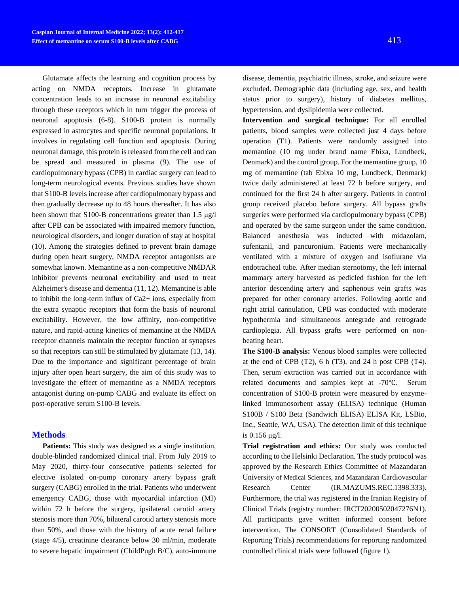Glutamate affects the learning and cognition process by acting on NMDA receptors. Increase in glutamate concentration leads to an increase in neuronal excitability through these receptors which in turn trigger the process of neuronal apoptosis (6-8). S100-B protein is normally expressed in astrocytes and specific neuronal populations. It involves in regulating cell function and apoptosis. During neuronal damage, this protein is released from the cell and can be spread and measured in plasma (9). The use of cardiopulmonary bypass (CPB) in cardiac surgery can lead to long-term neurological events. Previous studies have shown that S100-B levels increase after cardiopulmonary bypass and then gradually decrease up to 48 hours thereafter. It has also been shown that S100-B concentrations greater than 1.5 μg/l after CPB can be associated with impaired memory function, neurological disorders, and longer duration of stay at hospital (10). Among the strategies defined to prevent brain damage during open heart surgery, NMDA receptor antagonists are somewhat known. Memantine as a non-competitive NMDAR inhibitor prevents neuronal excitability and used to treat Alzheimer's disease and dementia (11, 12). Memantine is able to inhibit the long-term influx of Ca2+ ions, especially from the extra synaptic receptors that form the basis of neuronal excitability. However, the low affinity, non-competitive nature, and rapid-acting kinetics of memantine at the NMDA receptor channels maintain the receptor function at synapses so that receptors can still be stimulated by glutamate (13, 14). Due to the importance and significant percentage of brain injury after open heart surgery, the aim of this study was to investigate the effect of memantine as a NMDA receptors antagonist during on-pump CABG and evaluate its effect on post-operative serum S100-B levels.

## **Methods**

Patients: This study was designed as a single institution, double-blinded randomized clinical trial. From July 2019 to May 2020, thirty-four consecutive patients selected for elective isolated on-pump coronary artery bypass graft surgery (CABG) enrolled in the trial. Patients who underwent emergency CABG, those with myocardial infarction (MI) within 72 h before the surgery, ipsilateral carotid artery stenosis more than 70%, bilateral carotid artery stenosis more than 50%, and those with the history of acute renal failure (stage 4/5), creatinine clearance below 30 ml/min, moderate to severe hepatic impairment (ChildPugh B/C), auto-immune

disease, dementia, psychiatric illness, stroke, and seizure were excluded. Demographic data (including age, sex, and health status prior to surgery), history of diabetes mellitus, hypertension, and dyslipidemia were collected.

**Intervention and surgical technique:** For all enrolled patients, blood samples were collected just 4 days before operation (T1). Patients were randomly assigned into memantine (10 mg under brand name Ebixa, Lundbeck, Denmark) and the control group. For the memantine group, 10 mg of memantine (tab Ebixa 10 mg, Lundbeck, Denmark) twice daily administered at least 72 h before surgery, and continued for the first 24 h after surgery. Patients in control group received placebo before surgery. All bypass grafts surgeries were performed via cardiopulmonary bypass (CPB) and operated by the same surgeon under the same condition. Balanced anesthesia was inducted with midazolam, sufentanil, and pancuronium. Patients were mechanically ventilated with a mixture of oxygen and isoflurane via endotracheal tube. After median sternotomy, the left internal mammary artery harvested as pedicled fashion for the left anterior descending artery and saphenous vein grafts was prepared for other coronary arteries. Following aortic and right atrial cannulation, CPB was conducted with moderate hypothermia and simultaneous antegrade and retrograde cardioplegia. All bypass grafts were performed on nonbeating heart.

**The S100-B analysis:** Venous blood samples were collected at the end of CPB (T2), 6 h (T3), and 24 h post CPB (T4). Then, serum extraction was carried out in accordance with related documents and samples kept at -70℃. Serum concentration of S100-B protein were measured by enzymelinked immunosorbent assay (ELISA) technique (Human S100B / S100 Beta (Sandwich ELISA) ELISA Kit, LSBio, Inc., Seattle, WA, USA). The detection limit of this technique is 0.156 μg/l.

**Trial registration and ethics:** Our study was conducted according to the Helsinki Declaration. The study protocol was approved by the Research Ethics Committee of Mazandaran University of Medical Sciences, and Mazandaran Cardiovascular Research Center (IR.MAZUMS.REC.1398.333). Furthermore, the trial was registered in the Iranian Registry of Clinical Trials (registry number: IRCT20200502047276N1). All participants gave written informed consent before intervention. The CONSORT (Consolidated Standards of Reporting Trials) recommendations for reporting randomized controlled clinical trials were followed (figure 1).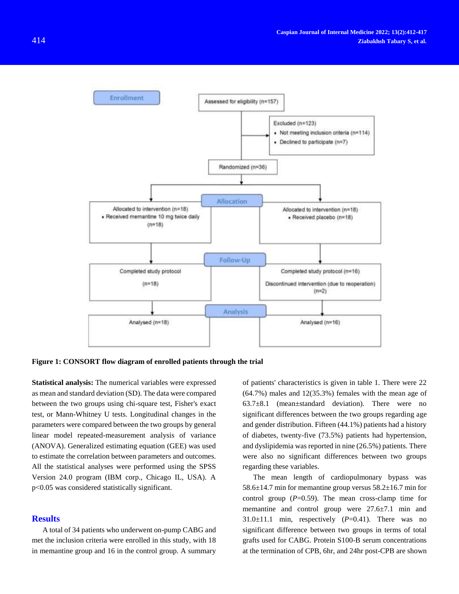

**Figure 1: CONSORT flow diagram of enrolled patients through the trial**

**Statistical analysis:** The numerical variables were expressed as mean and standard deviation (SD). The data were compared between the two groups using chi-square test, Fisher's exact test, or Mann-Whitney U tests. Longitudinal changes in the parameters were compared between the two groups by general linear model repeated-measurement analysis of variance (ANOVA). Generalized estimating equation (GEE) was used to estimate the correlation between parameters and outcomes. All the statistical analyses were performed using the SPSS Version 24.0 program (IBM corp., Chicago IL, USA). A  $p$ <0.05 was considered statistically significant.

#### **Results**

A total of 34 patients who underwent on-pump CABG and met the inclusion criteria were enrolled in this study, with 18 in memantine group and 16 in the control group. A summary of patients' characteristics is given in table 1. There were 22 (64.7%) males and 12(35.3%) females with the mean age of 63.7±8.1 (mean±standard deviation). There were no significant differences between the two groups regarding age and gender distribution. Fifteen (44.1%) patients had a history of diabetes, twenty-five (73.5%) patients had hypertension, and dyslipidemia was reported in nine (26.5%) patients. There were also no significant differences between two groups regarding these variables.

The mean length of cardiopulmonary bypass was 58.6±14.7 min for memantine group versus 58.2±16.7 min for control group  $(P=0.59)$ . The mean cross-clamp time for memantine and control group were 27.6±7.1 min and 31.0 $\pm$ 11.1 min, respectively ( $P$ =0.41). There was no significant difference between two groups in terms of total grafts used for CABG. Protein S100-B serum concentrations at the termination of CPB, 6hr, and 24hr post-CPB are shown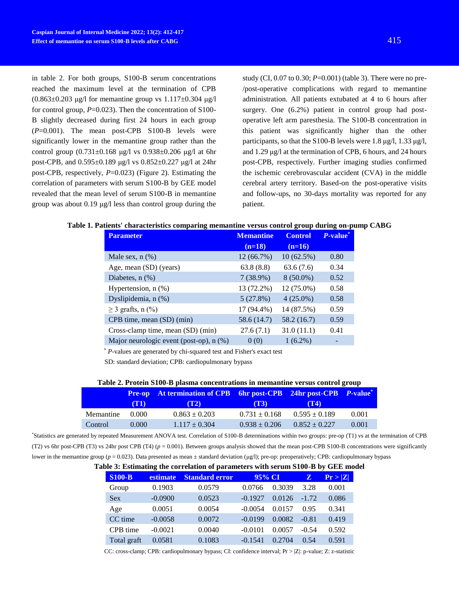in table 2. For both groups, S100-B serum concentrations reached the maximum level at the termination of CPB  $(0.863\pm0.203 \text{ µg/l}$  for memantine group vs  $1.117\pm0.304 \text{ µg/l}$ for control group,  $P=0.023$ ). Then the concentration of S100-B slightly decreased during first 24 hours in each group (*P*=0.001). The mean post-CPB S100-B levels were significantly lower in the memantine group rather than the control group  $(0.731 \pm 0.168 \text{ µg/l vs } 0.938 \pm 0.206 \text{ µg/l at 6hr})$ post-CPB, and  $0.595\pm0.189$  μg/l vs  $0.852\pm0.227$  μg/l at 24hr post-CPB, respectively, *P*=0.023) (Figure 2). Estimating the correlation of parameters with serum S100-B by GEE model revealed that the mean level of serum S100-B in memantine group was about 0.19 μg/l less than control group during the

study (CI, 0.07 to 0.30; *P*=0.001) (table 3). There were no pre- /post-operative complications with regard to memantine administration. All patients extubated at 4 to 6 hours after surgery. One (6.2%) patient in control group had postoperative left arm paresthesia. The S100-B concentration in this patient was significantly higher than the other participants, so that the S100-B levels were 1.8 μg/l, 1.33 μg/l, and 1.29 μg/l at the termination of CPB, 6 hours, and 24 hours post-CPB, respectively. Further imaging studies confirmed the ischemic cerebrovascular accident (CVA) in the middle cerebral artery territory. Based-on the post-operative visits and follow-ups, no 30-days mortality was reported for any patient.

#### **Table 1. Patients' characteristics comparing memantine versus control group during on-pump CABG**

| <b>Parameter</b>                        | <b>Memantine</b> | <b>Control</b> | P-value <sup>*</sup> |
|-----------------------------------------|------------------|----------------|----------------------|
|                                         | $(n=18)$         | $(n=16)$       |                      |
| Male sex, $n$ $(\%)$                    | 12 (66.7%)       | 10(62.5%)      | 0.80                 |
| Age, mean (SD) (years)                  | 63.8(8.8)        | 63.6(7.6)      | 0.34                 |
| Diabetes, $n$ $%$                       | 7(38.9%)         | $8(50.0\%)$    | 0.52                 |
| Hypertension, $n$ $(\%)$                | 13 (72.2%)       | 12 (75.0%)     | 0.58                 |
| Dyslipidemia, n (%)                     | 5(27.8%)         | $4(25.0\%)$    | 0.58                 |
| $\geq$ 3 grafts, n (%)                  | 17 (94.4%)       | 14 (87.5%)     | 0.59                 |
| CPB time, mean (SD) (min)               | 58.6 (14.7)      | 58.2 (16.7)    | 0.59                 |
| Cross-clamp time, mean (SD) (min)       | 27.6(7.1)        | 31.0(11.1)     | 0.41                 |
| Major neurologic event (post-op), n (%) | 0(0)             | $1(6.2\%)$     |                      |

\* *P-*values are generated by chi-squared test and Fisher's exact test

SD: standard deviation; CPB: cardiopulmonary bypass

#### **Table 2. Protein S100-B plasma concentrations in memantine versus control group**

|           | (T1)  | <b>Pre-op</b> At termination of CPB 6hr post-CPB 24hr post-CPB P-value <sup>*</sup><br>(T2) | (T3)              | (T4)              |       |
|-----------|-------|---------------------------------------------------------------------------------------------|-------------------|-------------------|-------|
| Memantine | 0.000 | $0.863 \pm 0.203$                                                                           | $0.731 \pm 0.168$ | $0.595 \pm 0.189$ | 0.001 |
| Control   | 0.000 | $1.117 \pm 0.304$                                                                           | $0.938 \pm 0.206$ | $0.852 \pm 0.227$ | 0.001 |

\*Statistics are generated by repeated Measurement ANOVA test. Correlation of S100-B determinations within two groups: pre-op (T1) vs at the termination of CPB (T2) vs 6hr post-CPB (T3) vs 24hr post CPB (T4) ( $p = 0.001$ ). Between groups analysis showed that the mean post-CPB S100-B concentrations were significantly lower in the memantine group (*p* = 0.023). Data presented as mean ± standard deviation (μg/l); pre-op: preoperatively; CPB: cardiopulmonary bypass

#### **Table 3: Estimating the correlation of parameters with serum S100-B by GEE model**

| <b>S100-B</b> | <b>estimate</b> | <b>Standard error</b> | 95% CI    |        | Z       | Pr >  Z |
|---------------|-----------------|-----------------------|-----------|--------|---------|---------|
| Group         | 0.1903          | 0.0579                | 0.0766    | 0.3039 | 3.28    | 0.001   |
| <b>Sex</b>    | $-0.0900$       | 0.0523                | $-0.1927$ | 0.0126 | $-1.72$ | 0.086   |
| Age           | 0.0051          | 0.0054                | $-0.0054$ | 0.0157 | 0.95    | 0.341   |
| CC time       | $-0.0058$       | 0.0072                | $-0.0199$ | 0.0082 | $-0.81$ | 0.419   |
| CPB time      | $-0.0021$       | 0.0040                | $-0.0101$ | 0.0057 | $-0.54$ | 0.592   |
| Total graft   | 0.0581          | 0.1083                | $-0.1541$ | 0.2704 | 0.54    | 0.591   |

CC: cross-clamp; CPB: cardiopulmonary bypass; CI: confidence interval; Pr > |Z|: p-value; Z: z-statistic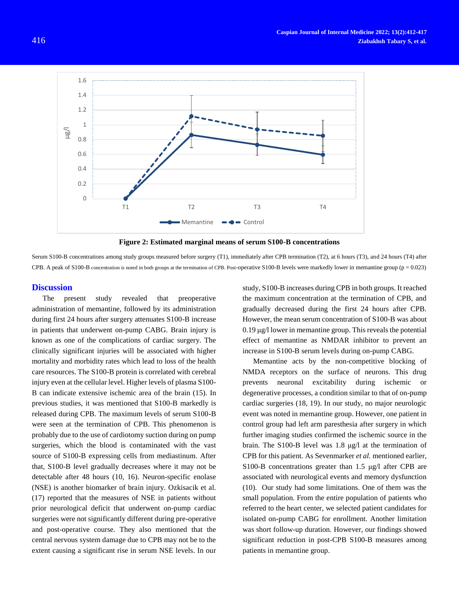



Serum S100-B concentrations among study groups measured before surgery (T1), immediately after CPB termination (T2), at 6 hours (T3), and 24 hours (T4) after CPB. A peak of S100-B concentration is noted in both groups at the termination of CPB. Post-operative S100-B levels were markedly lower in memantine group (p = 0.023)

#### **Discussion**

The present study revealed that preoperative administration of memantine, followed by its administration during first 24 hours after surgery attenuates S100-B increase in patients that underwent on-pump CABG. Brain injury is known as one of the complications of cardiac surgery. The clinically significant injuries will be associated with higher mortality and morbidity rates which lead to loss of the health care resources. The S100-B protein is correlated with cerebral injury even at the cellular level. Higher levels of plasma S100- B can indicate extensive ischemic area of the brain (15). In previous studies, it was mentioned that S100-B markedly is released during CPB. The maximum levels of serum S100-B were seen at the termination of CPB. This phenomenon is probably due to the use of cardiotomy suction during on pump surgeries, which the blood is contaminated with the vast source of S100-B expressing cells from mediastinum. After that, S100-B level gradually decreases where it may not be detectable after 48 hours (10, 16). Neuron-specific enolase (NSE) is another biomarker of brain injury. Ozkisacik et al. (17) reported that the measures of NSE in patients without prior neurological deficit that underwent on-pump cardiac surgeries were not significantly different during pre-operative and post-operative course. They also mentioned that the central nervous system damage due to CPB may not be to the extent causing a significant rise in serum NSE levels. In our study, S100-B increases during CPB in both groups. It reached the maximum concentration at the termination of CPB, and gradually decreased during the first 24 hours after CPB. However, the mean serum concentration of S100-B was about 0.19 μg/l lower in memantine group. This reveals the potential effect of memantine as NMDAR inhibitor to prevent an increase in S100-B serum levels during on-pump CABG.

Memantine acts by the non-competitive blocking of NMDA receptors on the surface of neurons. This drug prevents neuronal excitability during ischemic or degenerative processes, a condition similar to that of on-pump cardiac surgeries (18, 19). In our study, no major neurologic event was noted in memantine group. However, one patient in control group had left arm paresthesia after surgery in which further imaging studies confirmed the ischemic source in the brain. The S100-B level was 1.8 μg/l at the termination of CPB for this patient. As Sevenmarker *et al.* mentioned earlier, S100-B concentrations greater than 1.5 μg/l after CPB are associated with neurological events and memory dysfunction (10). Our study had some limitations. One of them was the small population. From the entire population of patients who referred to the heart center, we selected patient candidates for isolated on-pump CABG for enrollment. Another limitation was short follow-up duration. However, our findings showed significant reduction in post-CPB S100-B measures among patients in memantine group.